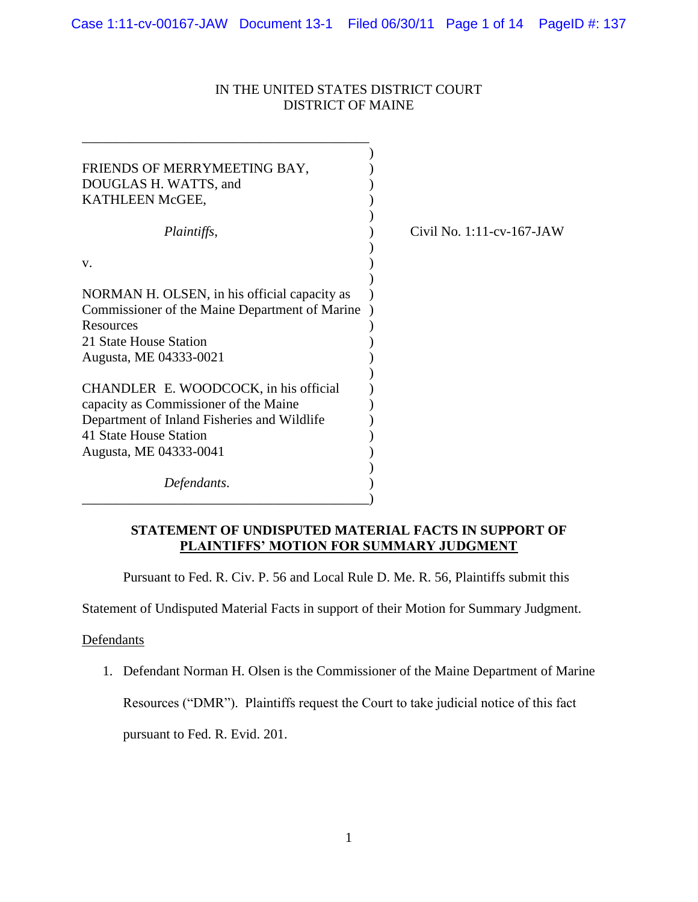# IN THE UNITED STATES DISTRICT COURT DISTRICT OF MAINE

| FRIENDS OF MERRYMEETING BAY,<br>DOUGLAS H. WATTS, and<br>KATHLEEN McGEE,                                                                                                          |                           |
|-----------------------------------------------------------------------------------------------------------------------------------------------------------------------------------|---------------------------|
| <i>Plaintiffs,</i>                                                                                                                                                                | Civil No. 1:11-cv-167-JAW |
| V.                                                                                                                                                                                |                           |
| NORMAN H. OLSEN, in his official capacity as<br>Commissioner of the Maine Department of Marine<br>Resources<br>21 State House Station<br>Augusta, ME 04333-0021                   |                           |
| CHANDLER E. WOODCOCK, in his official<br>capacity as Commissioner of the Maine<br>Department of Inland Fisheries and Wildlife<br>41 State House Station<br>Augusta, ME 04333-0041 |                           |
| Defendants.                                                                                                                                                                       |                           |

# **STATEMENT OF UNDISPUTED MATERIAL FACTS IN SUPPORT OF PLAINTIFFS' MOTION FOR SUMMARY JUDGMENT**

Pursuant to Fed. R. Civ. P. 56 and Local Rule D. Me. R. 56, Plaintiffs submit this

Statement of Undisputed Material Facts in support of their Motion for Summary Judgment.

# Defendants

1. Defendant Norman H. Olsen is the Commissioner of the Maine Department of Marine Resources ("DMR"). Plaintiffs request the Court to take judicial notice of this fact pursuant to Fed. R. Evid. 201.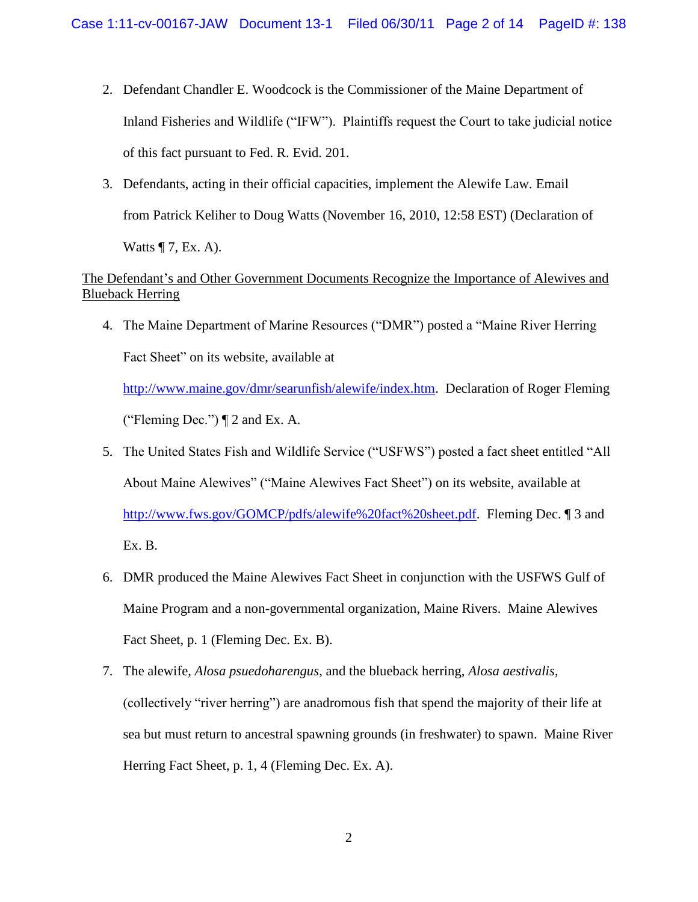- 2. Defendant Chandler E. Woodcock is the Commissioner of the Maine Department of Inland Fisheries and Wildlife ("IFW"). Plaintiffs request the Court to take judicial notice of this fact pursuant to Fed. R. Evid. 201.
- 3. Defendants, acting in their official capacities, implement the Alewife Law. Email from Patrick Keliher to Doug Watts (November 16, 2010, 12:58 EST) (Declaration of Watts  $\P$  7, Ex. A).

# The Defendant's and Other Government Documents Recognize the Importance of Alewives and Blueback Herring

4. The Maine Department of Marine Resources ("DMR") posted a "Maine River Herring Fact Sheet" on its website, available at

[http://www.maine.gov/dmr/searunfish/alewife/index.htm.](http://www.maine.gov/dmr/searunfish/alewife/index.htm) Declaration of Roger Fleming ("Fleming Dec.") ¶ 2 and Ex. A.

- 5. The United States Fish and Wildlife Service ("USFWS") posted a fact sheet entitled "All About Maine Alewives" ("Maine Alewives Fact Sheet") on its website, available at [http://www.fws.gov/GOMCP/pdfs/alewife%20fact%20sheet.pdf.](https://owa.earthjustice.org/owa/redir.aspx?C=4da9b883da864d5cab0b20a7f99abcd5&URL=http%3a%2f%2fwww.fws.gov%2fGOMCP%2fpdfs%2falewife%2520fact%2520sheet.pdf) Fleming Dec. 13 and Ex. B.
- 6. DMR produced the Maine Alewives Fact Sheet in conjunction with the USFWS Gulf of Maine Program and a non-governmental organization, Maine Rivers. Maine Alewives Fact Sheet, p. 1 (Fleming Dec. Ex. B).
- 7. The alewife, *Alosa psuedoharengus*, and the blueback herring, *Alosa aestivalis*, (collectively "river herring") are anadromous fish that spend the majority of their life at sea but must return to ancestral spawning grounds (in freshwater) to spawn. Maine River Herring Fact Sheet, p. 1, 4 (Fleming Dec. Ex. A).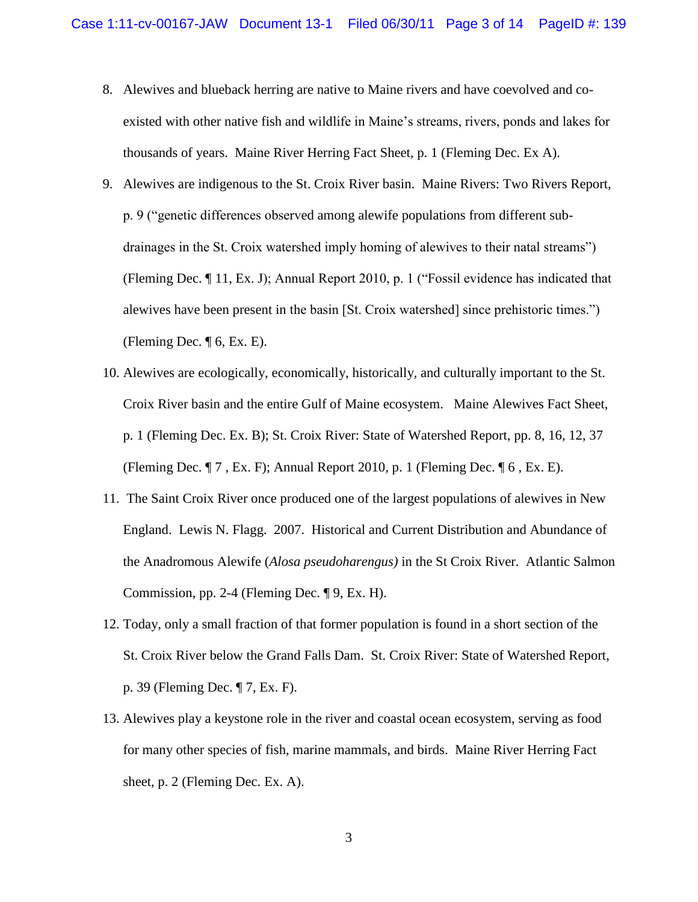- 8. Alewives and blueback herring are native to Maine rivers and have coevolved and coexisted with other native fish and wildlife in Maine's streams, rivers, ponds and lakes for thousands of years. Maine River Herring Fact Sheet, p. 1 (Fleming Dec. Ex A).
- 9. Alewives are indigenous to the St. Croix River basin. Maine Rivers: Two Rivers Report, p. 9 ("genetic differences observed among alewife populations from different subdrainages in the St. Croix watershed imply homing of alewives to their natal streams") (Fleming Dec. ¶ 11, Ex. J); Annual Report 2010, p. 1 ("Fossil evidence has indicated that alewives have been present in the basin [St. Croix watershed] since prehistoric times.") (Fleming Dec. ¶ 6, Ex. E).
- 10. Alewives are ecologically, economically, historically, and culturally important to the St. Croix River basin and the entire Gulf of Maine ecosystem. Maine Alewives Fact Sheet, p. 1 (Fleming Dec. Ex. B); St. Croix River: State of Watershed Report, pp. 8, 16, 12, 37 (Fleming Dec. ¶ 7 , Ex. F); Annual Report 2010, p. 1 (Fleming Dec. ¶ 6 , Ex. E).
- 11. The Saint Croix River once produced one of the largest populations of alewives in New England. Lewis N. Flagg. 2007. Historical and Current Distribution and Abundance of the Anadromous Alewife (*Alosa pseudoharengus)* in the St Croix River. Atlantic Salmon Commission, pp. 2-4 (Fleming Dec. ¶ 9, Ex. H).
- 12. Today, only a small fraction of that former population is found in a short section of the St. Croix River below the Grand Falls Dam. St. Croix River: State of Watershed Report, p. 39 (Fleming Dec. ¶ 7, Ex. F).
- 13. Alewives play a keystone role in the river and coastal ocean ecosystem, serving as food for many other species of fish, marine mammals, and birds. Maine River Herring Fact sheet, p. 2 (Fleming Dec. Ex. A).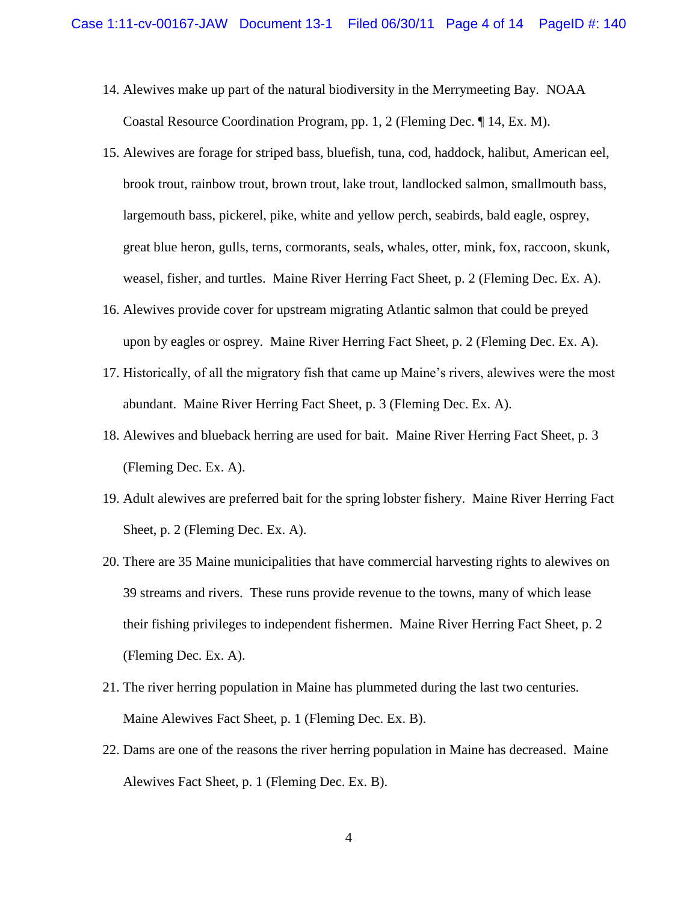- 14. Alewives make up part of the natural biodiversity in the Merrymeeting Bay. NOAA Coastal Resource Coordination Program, pp. 1, 2 (Fleming Dec. ¶ 14, Ex. M).
- 15. Alewives are forage for striped bass, bluefish, tuna, cod, haddock, halibut, American eel, brook trout, rainbow trout, brown trout, lake trout, landlocked salmon, smallmouth bass, largemouth bass, pickerel, pike, white and yellow perch, seabirds, bald eagle, osprey, great blue heron, gulls, terns, cormorants, seals, whales, otter, mink, fox, raccoon, skunk, weasel, fisher, and turtles. Maine River Herring Fact Sheet, p. 2 (Fleming Dec. Ex. A).
- 16. Alewives provide cover for upstream migrating Atlantic salmon that could be preyed upon by eagles or osprey. Maine River Herring Fact Sheet, p. 2 (Fleming Dec. Ex. A).
- 17. Historically, of all the migratory fish that came up Maine's rivers, alewives were the most abundant. Maine River Herring Fact Sheet, p. 3 (Fleming Dec. Ex. A).
- 18. Alewives and blueback herring are used for bait. Maine River Herring Fact Sheet, p. 3 (Fleming Dec. Ex. A).
- 19. Adult alewives are preferred bait for the spring lobster fishery. Maine River Herring Fact Sheet, p. 2 (Fleming Dec. Ex. A).
- 20. There are 35 Maine municipalities that have commercial harvesting rights to alewives on 39 streams and rivers. These runs provide revenue to the towns, many of which lease their fishing privileges to independent fishermen. Maine River Herring Fact Sheet, p. 2 (Fleming Dec. Ex. A).
- 21. The river herring population in Maine has plummeted during the last two centuries. Maine Alewives Fact Sheet, p. 1 (Fleming Dec. Ex. B).
- 22. Dams are one of the reasons the river herring population in Maine has decreased. Maine Alewives Fact Sheet, p. 1 (Fleming Dec. Ex. B).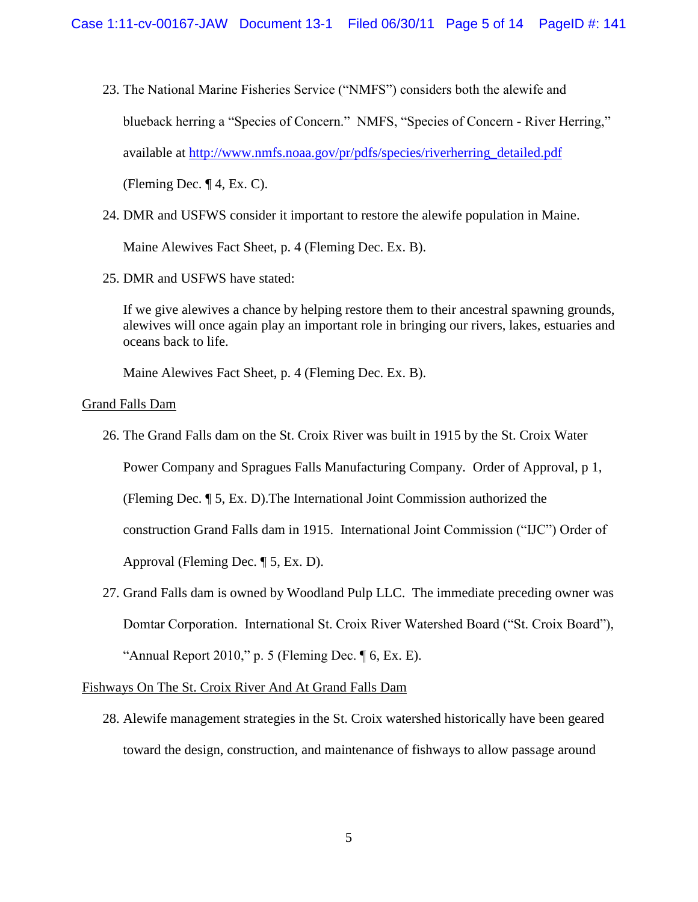- 23. The National Marine Fisheries Service ("NMFS") considers both the alewife and blueback herring a "Species of Concern." NMFS, "Species of Concern - River Herring," available at [http://www.nmfs.noaa.gov/pr/pdfs/species/riverherring\\_detailed.pdf](https://owa.earthjustice.org/owa/redir.aspx?C=4da9b883da864d5cab0b20a7f99abcd5&URL=http%3a%2f%2fwww.nmfs.noaa.gov%2fpr%2fpdfs%2fspecies%2friverherring_detailed.pdf) (Fleming Dec. ¶ 4, Ex. C).
- 24. DMR and USFWS consider it important to restore the alewife population in Maine.

Maine Alewives Fact Sheet, p. 4 (Fleming Dec. Ex. B).

25. DMR and USFWS have stated:

If we give alewives a chance by helping restore them to their ancestral spawning grounds, alewives will once again play an important role in bringing our rivers, lakes, estuaries and oceans back to life.

Maine Alewives Fact Sheet, p. 4 (Fleming Dec. Ex. B).

### Grand Falls Dam

26. The Grand Falls dam on the St. Croix River was built in 1915 by the St. Croix Water

Power Company and Spragues Falls Manufacturing Company. Order of Approval, p 1,

(Fleming Dec. ¶ 5, Ex. D).The International Joint Commission authorized the

construction Grand Falls dam in 1915. International Joint Commission ("IJC") Order of

Approval (Fleming Dec. ¶ 5, Ex. D).

27. Grand Falls dam is owned by Woodland Pulp LLC. The immediate preceding owner was Domtar Corporation. International St. Croix River Watershed Board ("St. Croix Board"), "Annual Report 2010," p. 5 (Fleming Dec.  $\sqrt{ }$  6, Ex. E).

Fishways On The St. Croix River And At Grand Falls Dam

28. Alewife management strategies in the St. Croix watershed historically have been geared toward the design, construction, and maintenance of fishways to allow passage around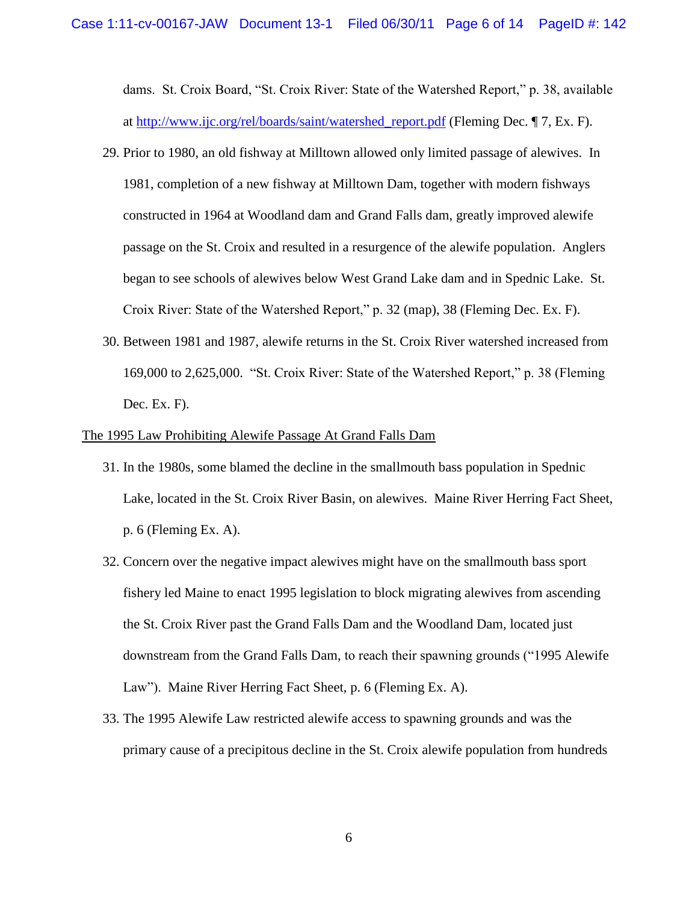dams. St. Croix Board, "St. Croix River: State of the Watershed Report," p. 38, available at [http://www.ijc.org/rel/boards/saint/watershed\\_report.pdf](www.ijc.org/rel/boards/saint/watershed_report.pdf) (Fleming Dec. ¶ 7, Ex. F).

- 29. Prior to 1980, an old fishway at Milltown allowed only limited passage of alewives. In 1981, completion of a new fishway at Milltown Dam, together with modern fishways constructed in 1964 at Woodland dam and Grand Falls dam, greatly improved alewife passage on the St. Croix and resulted in a resurgence of the alewife population. Anglers began to see schools of alewives below West Grand Lake dam and in Spednic Lake. St. Croix River: State of the Watershed Report," p. 32 (map), 38 (Fleming Dec. Ex. F).
- 30. Between 1981 and 1987, alewife returns in the St. Croix River watershed increased from 169,000 to 2,625,000. "St. Croix River: State of the Watershed Report," p. 38 (Fleming Dec. Ex. F).

#### The 1995 Law Prohibiting Alewife Passage At Grand Falls Dam

- 31. In the 1980s, some blamed the decline in the smallmouth bass population in Spednic Lake, located in the St. Croix River Basin, on alewives. Maine River Herring Fact Sheet, p. 6 (Fleming Ex. A).
- 32. Concern over the negative impact alewives might have on the smallmouth bass sport fishery led Maine to enact 1995 legislation to block migrating alewives from ascending the St. Croix River past the Grand Falls Dam and the Woodland Dam, located just downstream from the Grand Falls Dam, to reach their spawning grounds ("1995 Alewife Law"). Maine River Herring Fact Sheet, p. 6 (Fleming Ex. A).
- 33. The 1995 Alewife Law restricted alewife access to spawning grounds and was the primary cause of a precipitous decline in the St. Croix alewife population from hundreds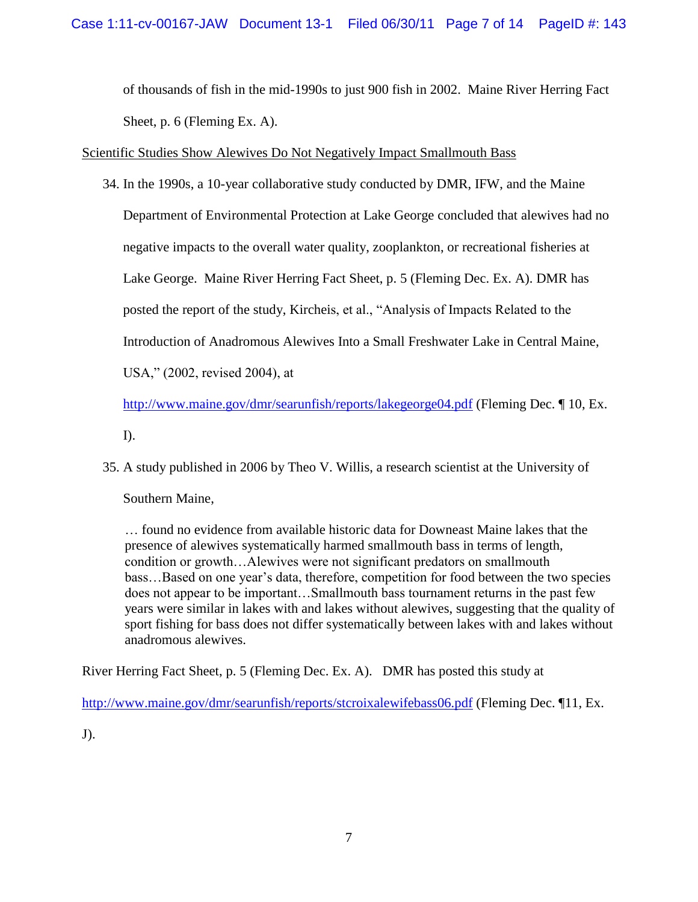of thousands of fish in the mid-1990s to just 900 fish in 2002. Maine River Herring Fact Sheet, p. 6 (Fleming Ex. A).

Scientific Studies Show Alewives Do Not Negatively Impact Smallmouth Bass

- 34. In the 1990s, a 10-year collaborative study conducted by DMR, IFW, and the Maine Department of Environmental Protection at Lake George concluded that alewives had no negative impacts to the overall water quality, zooplankton, or recreational fisheries at Lake George. Maine River Herring Fact Sheet, p. 5 (Fleming Dec. Ex. A). DMR has posted the report of the study, Kircheis, et al., "Analysis of Impacts Related to the Introduction of Anadromous Alewives Into a Small Freshwater Lake in Central Maine, USA," (2002, revised 2004), at
	- [http://www.maine.gov/dmr/searunfish/reports/lakegeorge04.pdf](www.maine.gov/dmr/searunfish/reports/lakegeorge04.pdf) (Fleming Dec. ¶ 10, Ex. I).
- 35. A study published in 2006 by Theo V. Willis, a research scientist at the University of Southern Maine,

… found no evidence from available historic data for Downeast Maine lakes that the presence of alewives systematically harmed smallmouth bass in terms of length, condition or growth…Alewives were not significant predators on smallmouth bass…Based on one year's data, therefore, competition for food between the two species does not appear to be important…Smallmouth bass tournament returns in the past few years were similar in lakes with and lakes without alewives, suggesting that the quality of sport fishing for bass does not differ systematically between lakes with and lakes without anadromous alewives.

River Herring Fact Sheet, p. 5 (Fleming Dec. Ex. A). DMR has posted this study at

[http://www.maine.gov/dmr/searunfish/reports/stcroixalewifebass06.pdf](www.maine.gov/dmr/searunfish/reports/stcroixalewifebass06.pdf) (Fleming Dec. 11, Ex.

J).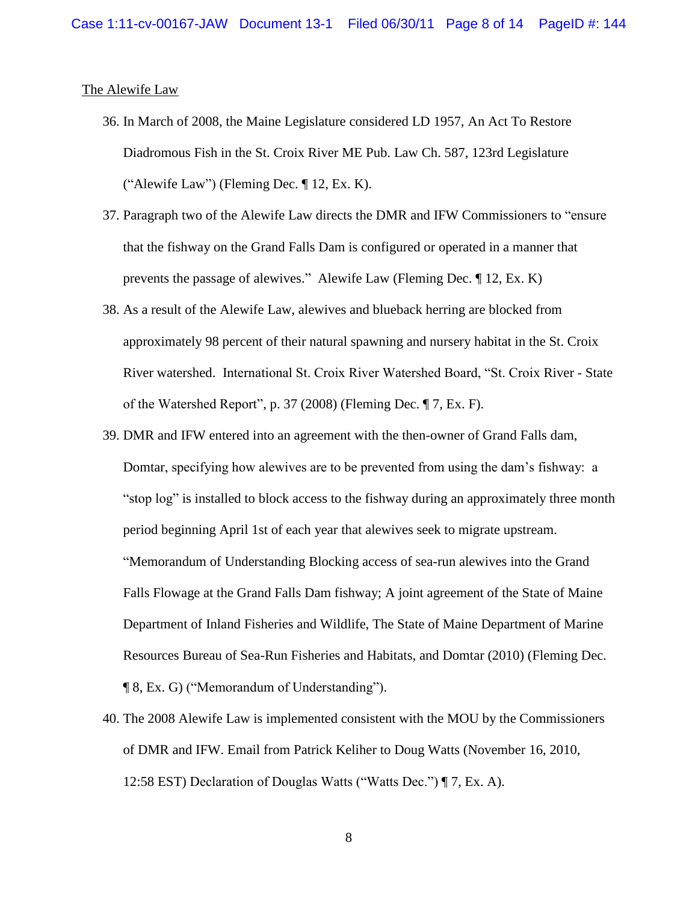#### The Alewife Law

- 36. In March of 2008, the Maine Legislature considered LD 1957, An Act To Restore Diadromous Fish in the St. Croix River ME Pub. Law Ch. 587, 123rd Legislature ("Alewife Law") (Fleming Dec.  $\P$  12, Ex. K).
- 37. Paragraph two of the Alewife Law directs the DMR and IFW Commissioners to "ensure that the fishway on the Grand Falls Dam is configured or operated in a manner that prevents the passage of alewives." Alewife Law (Fleming Dec. ¶ 12, Ex. K)
- 38. As a result of the Alewife Law, alewives and blueback herring are blocked from approximately 98 percent of their natural spawning and nursery habitat in the St. Croix River watershed. International St. Croix River Watershed Board, "St. Croix River - State of the Watershed Report", p. 37 (2008) (Fleming Dec. ¶ 7, Ex. F).
- 39. DMR and IFW entered into an agreement with the then-owner of Grand Falls dam, Domtar, specifying how alewives are to be prevented from using the dam's fishway: a "stop log" is installed to block access to the fishway during an approximately three month period beginning April 1st of each year that alewives seek to migrate upstream. "Memorandum of Understanding Blocking access of sea-run alewives into the Grand Falls Flowage at the Grand Falls Dam fishway; A joint agreement of the State of Maine Department of Inland Fisheries and Wildlife, The State of Maine Department of Marine Resources Bureau of Sea-Run Fisheries and Habitats, and Domtar (2010) (Fleming Dec. ¶ 8, Ex. G) ("Memorandum of Understanding").
- 40. The 2008 Alewife Law is implemented consistent with the MOU by the Commissioners of DMR and IFW. Email from Patrick Keliher to Doug Watts (November 16, 2010, 12:58 EST) Declaration of Douglas Watts ("Watts Dec.") ¶ 7, Ex. A).

8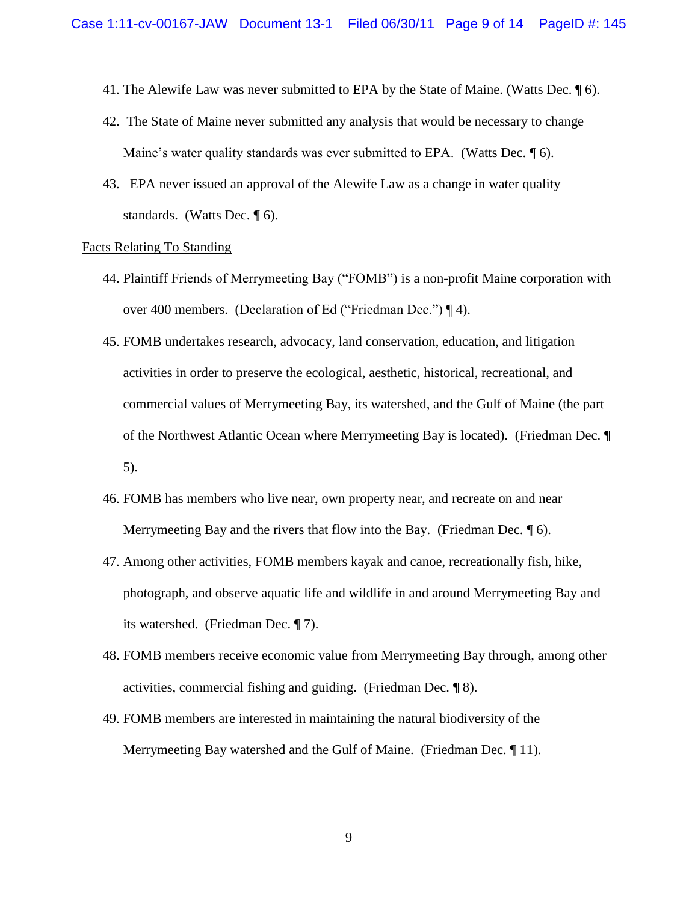- 41. The Alewife Law was never submitted to EPA by the State of Maine. (Watts Dec. ¶ 6).
- 42. The State of Maine never submitted any analysis that would be necessary to change Maine's water quality standards was ever submitted to EPA. (Watts Dec.  $\parallel$  6).
- 43. EPA never issued an approval of the Alewife Law as a change in water quality standards. (Watts Dec. ¶ 6).

#### Facts Relating To Standing

- 44. Plaintiff Friends of Merrymeeting Bay ("FOMB") is a non-profit Maine corporation with over 400 members. (Declaration of Ed ("Friedman Dec.") ¶ 4).
- 45. FOMB undertakes research, advocacy, land conservation, education, and litigation activities in order to preserve the ecological, aesthetic, historical, recreational, and commercial values of Merrymeeting Bay, its watershed, and the Gulf of Maine (the part of the Northwest Atlantic Ocean where Merrymeeting Bay is located). (Friedman Dec. ¶ 5).
- 46. FOMB has members who live near, own property near, and recreate on and near Merrymeeting Bay and the rivers that flow into the Bay. (Friedman Dec.  $\P$  6).
- 47. Among other activities, FOMB members kayak and canoe, recreationally fish, hike, photograph, and observe aquatic life and wildlife in and around Merrymeeting Bay and its watershed. (Friedman Dec. ¶ 7).
- 48. FOMB members receive economic value from Merrymeeting Bay through, among other activities, commercial fishing and guiding. (Friedman Dec. ¶ 8).
- 49. FOMB members are interested in maintaining the natural biodiversity of the Merrymeeting Bay watershed and the Gulf of Maine. (Friedman Dec. ¶ 11).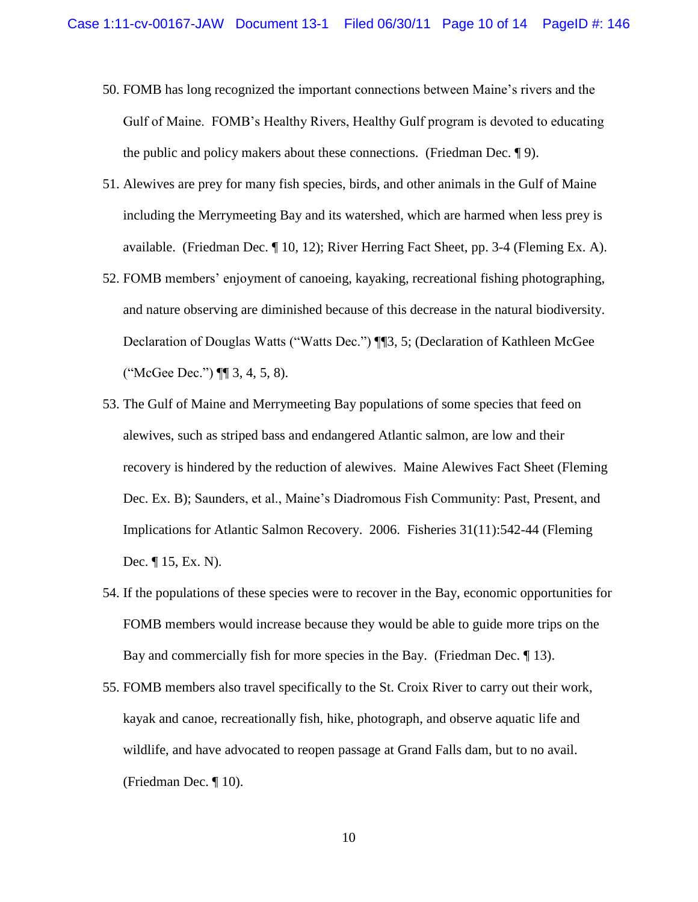- 50. FOMB has long recognized the important connections between Maine's rivers and the Gulf of Maine. FOMB's Healthy Rivers, Healthy Gulf program is devoted to educating the public and policy makers about these connections. (Friedman Dec. ¶ 9).
- 51. Alewives are prey for many fish species, birds, and other animals in the Gulf of Maine including the Merrymeeting Bay and its watershed, which are harmed when less prey is available. (Friedman Dec. ¶ 10, 12); River Herring Fact Sheet, pp. 3-4 (Fleming Ex. A).
- 52. FOMB members' enjoyment of canoeing, kayaking, recreational fishing photographing, and nature observing are diminished because of this decrease in the natural biodiversity. Declaration of Douglas Watts ("Watts Dec.") ¶¶3, 5; (Declaration of Kathleen McGee ("McGee Dec.") ¶¶ 3, 4, 5, 8).
- 53. The Gulf of Maine and Merrymeeting Bay populations of some species that feed on alewives, such as striped bass and endangered Atlantic salmon, are low and their recovery is hindered by the reduction of alewives. Maine Alewives Fact Sheet (Fleming Dec. Ex. B); Saunders, et al., Maine's Diadromous Fish Community: Past, Present, and Implications for Atlantic Salmon Recovery. 2006. Fisheries 31(11):542-44 (Fleming Dec. ¶ 15, Ex. N).
- 54. If the populations of these species were to recover in the Bay, economic opportunities for FOMB members would increase because they would be able to guide more trips on the Bay and commercially fish for more species in the Bay. (Friedman Dec. ¶ 13).
- 55. FOMB members also travel specifically to the St. Croix River to carry out their work, kayak and canoe, recreationally fish, hike, photograph, and observe aquatic life and wildlife, and have advocated to reopen passage at Grand Falls dam, but to no avail. (Friedman Dec. ¶ 10).

10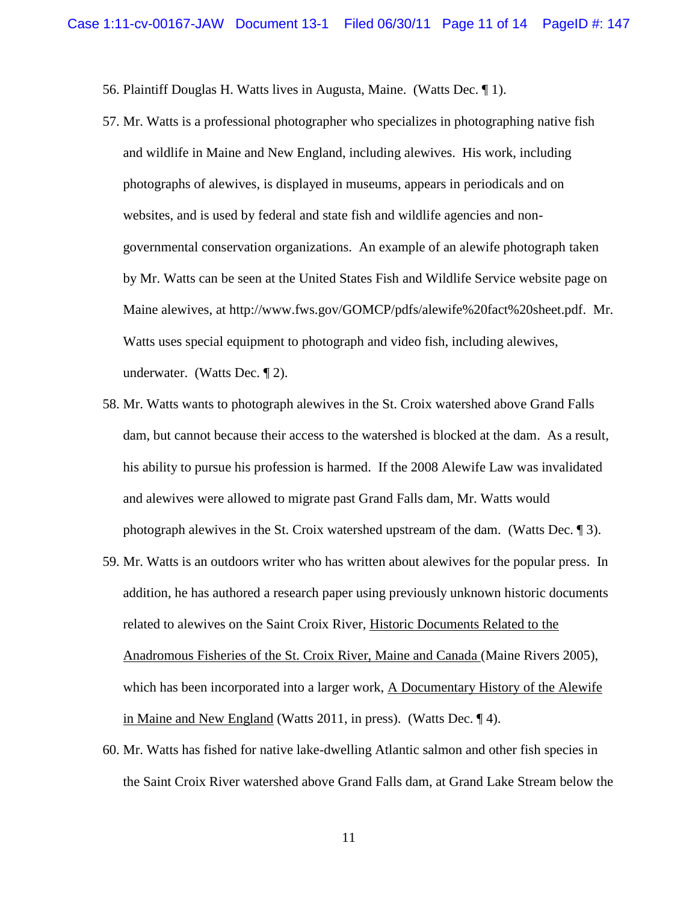56. Plaintiff Douglas H. Watts lives in Augusta, Maine. (Watts Dec. ¶ 1).

- 57. Mr. Watts is a professional photographer who specializes in photographing native fish and wildlife in Maine and New England, including alewives. His work, including photographs of alewives, is displayed in museums, appears in periodicals and on websites, and is used by federal and state fish and wildlife agencies and nongovernmental conservation organizations. An example of an alewife photograph taken by Mr. Watts can be seen at the United States Fish and Wildlife Service website page on Maine alewives, at http://www.fws.gov/GOMCP/pdfs/alewife%20fact%20sheet.pdf. Mr. Watts uses special equipment to photograph and video fish, including alewives, underwater. (Watts Dec. ¶ 2).
- 58. Mr. Watts wants to photograph alewives in the St. Croix watershed above Grand Falls dam, but cannot because their access to the watershed is blocked at the dam. As a result, his ability to pursue his profession is harmed. If the 2008 Alewife Law was invalidated and alewives were allowed to migrate past Grand Falls dam, Mr. Watts would photograph alewives in the St. Croix watershed upstream of the dam. (Watts Dec. ¶ 3).
- 59. Mr. Watts is an outdoors writer who has written about alewives for the popular press. In addition, he has authored a research paper using previously unknown historic documents related to alewives on the Saint Croix River, Historic Documents Related to the Anadromous Fisheries of the St. Croix River, Maine and Canada (Maine Rivers 2005), which has been incorporated into a larger work, A Documentary History of the Alewife in Maine and New England (Watts 2011, in press). (Watts Dec. ¶ 4).
- 60. Mr. Watts has fished for native lake-dwelling Atlantic salmon and other fish species in the Saint Croix River watershed above Grand Falls dam, at Grand Lake Stream below the

11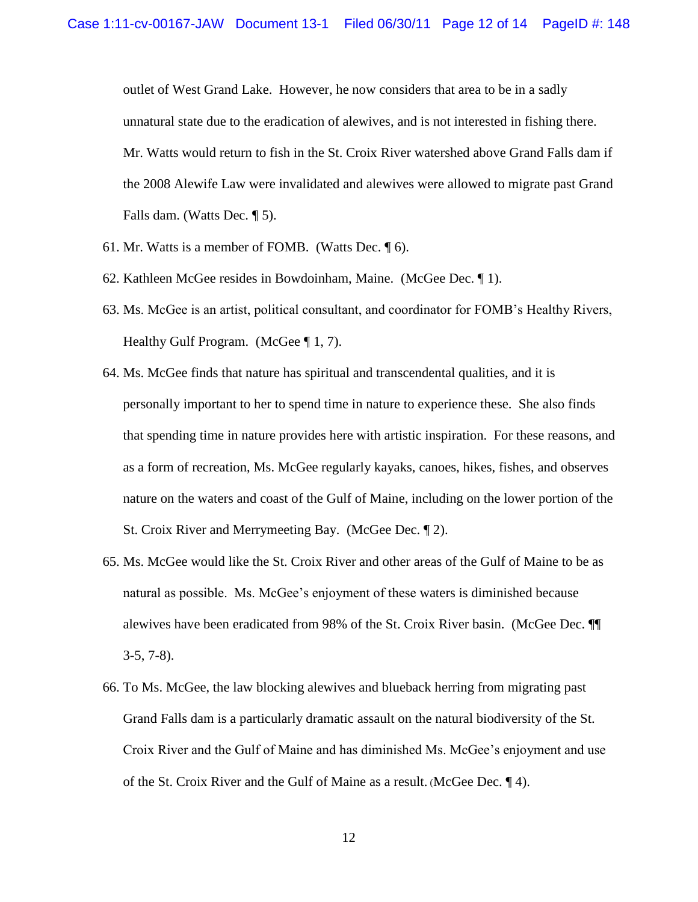outlet of West Grand Lake. However, he now considers that area to be in a sadly unnatural state due to the eradication of alewives, and is not interested in fishing there. Mr. Watts would return to fish in the St. Croix River watershed above Grand Falls dam if the 2008 Alewife Law were invalidated and alewives were allowed to migrate past Grand Falls dam. (Watts Dec. ¶ 5).

- 61. Mr. Watts is a member of FOMB. (Watts Dec. ¶ 6).
- 62. Kathleen McGee resides in Bowdoinham, Maine. (McGee Dec. ¶ 1).
- 63. Ms. McGee is an artist, political consultant, and coordinator for FOMB's Healthy Rivers, Healthy Gulf Program. (McGee  $\P$  1, 7).
- 64. Ms. McGee finds that nature has spiritual and transcendental qualities, and it is personally important to her to spend time in nature to experience these. She also finds that spending time in nature provides here with artistic inspiration. For these reasons, and as a form of recreation, Ms. McGee regularly kayaks, canoes, hikes, fishes, and observes nature on the waters and coast of the Gulf of Maine, including on the lower portion of the St. Croix River and Merrymeeting Bay. (McGee Dec. ¶ 2).
- 65. Ms. McGee would like the St. Croix River and other areas of the Gulf of Maine to be as natural as possible. Ms. McGee's enjoyment of these waters is diminished because alewives have been eradicated from 98% of the St. Croix River basin. (McGee Dec. ¶¶ 3-5, 7-8).
- 66. To Ms. McGee, the law blocking alewives and blueback herring from migrating past Grand Falls dam is a particularly dramatic assault on the natural biodiversity of the St. Croix River and the Gulf of Maine and has diminished Ms. McGee's enjoyment and use of the St. Croix River and the Gulf of Maine as a result. (McGee Dec. ¶ 4).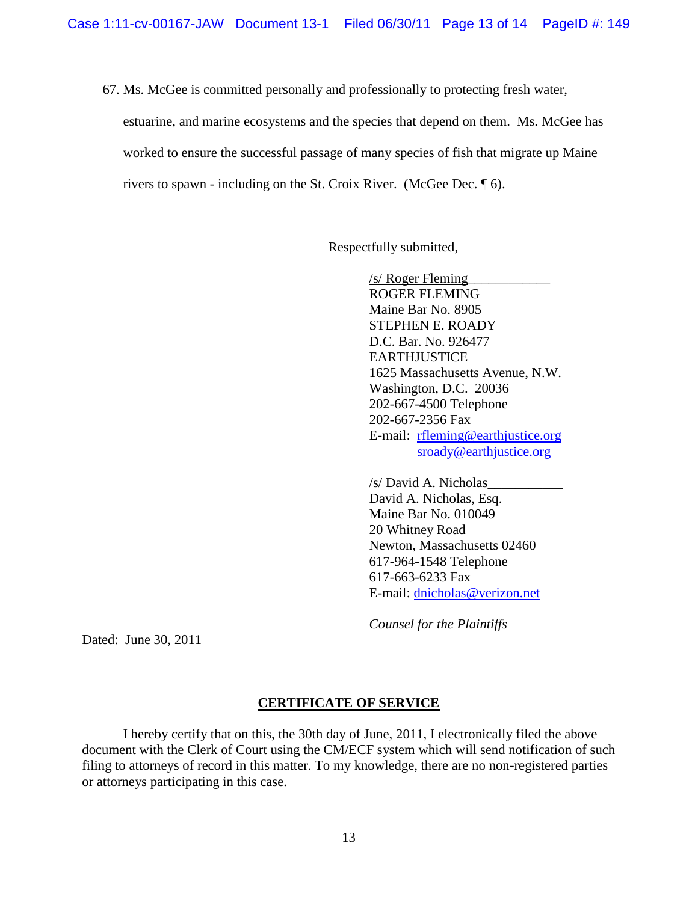67. Ms. McGee is committed personally and professionally to protecting fresh water,

estuarine, and marine ecosystems and the species that depend on them. Ms. McGee has worked to ensure the successful passage of many species of fish that migrate up Maine rivers to spawn - including on the St. Croix River. (McGee Dec. ¶ 6).

Respectfully submitted,

/s/ Roger Fleming\_\_\_\_\_\_\_\_\_\_\_\_ ROGER FLEMING Maine Bar No. 8905 STEPHEN E. ROADY D.C. Bar. No. 926477 **EARTHJUSTICE** 1625 Massachusetts Avenue, N.W. Washington, D.C. 20036 202-667-4500 Telephone 202-667-2356 Fax E-mail: [rfleming@earthjustice.org](mailto:rfleming@earthjustice.org) [sroady@earthjustice.org](mailto:sroady@earthjustice.org)

/s/ David A. Nicholas\_\_\_\_\_\_\_\_\_\_\_ David A. Nicholas, Esq. Maine Bar No. 010049 20 Whitney Road Newton, Massachusetts 02460 617-964-1548 Telephone 617-663-6233 Fax E-mail: [dnicholas@verizon.net](mailto:dnicholas@verizon.net)

*Counsel for the Plaintiffs*

Dated: June 30, 2011

#### **CERTIFICATE OF SERVICE**

I hereby certify that on this, the 30th day of June, 2011, I electronically filed the above document with the Clerk of Court using the CM/ECF system which will send notification of such filing to attorneys of record in this matter. To my knowledge, there are no non-registered parties or attorneys participating in this case.